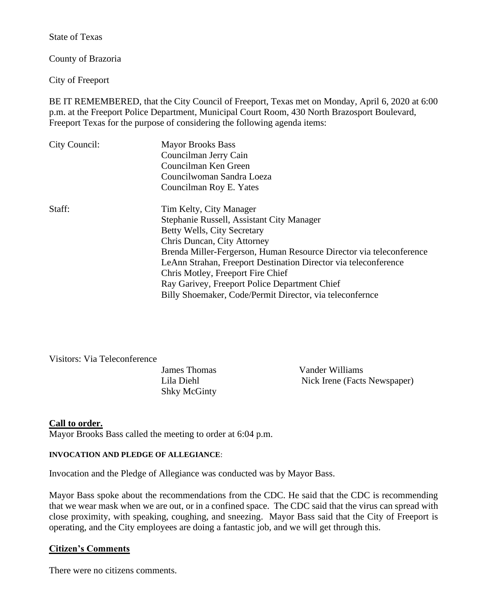State of Texas

County of Brazoria

City of Freeport

BE IT REMEMBERED, that the City Council of Freeport, Texas met on Monday, April 6, 2020 at 6:00 p.m. at the Freeport Police Department, Municipal Court Room, 430 North Brazosport Boulevard, Freeport Texas for the purpose of considering the following agenda items:

| City Council: | <b>Mayor Brooks Bass</b><br>Councilman Jerry Cain<br>Councilman Ken Green<br>Councilwoman Sandra Loeza<br>Councilman Roy E. Yates                                                                                                                                                                                                                                                                                              |
|---------------|--------------------------------------------------------------------------------------------------------------------------------------------------------------------------------------------------------------------------------------------------------------------------------------------------------------------------------------------------------------------------------------------------------------------------------|
| Staff:        | Tim Kelty, City Manager<br>Stephanie Russell, Assistant City Manager<br>Betty Wells, City Secretary<br>Chris Duncan, City Attorney<br>Brenda Miller-Fergerson, Human Resource Director via teleconference<br>LeAnn Strahan, Freeport Destination Director via teleconference<br>Chris Motley, Freeport Fire Chief<br>Ray Garivey, Freeport Police Department Chief<br>Billy Shoemaker, Code/Permit Director, via teleconfernce |

Visitors: Via Teleconference

Shky McGinty

James Thomas Vander Williams Lila Diehl Nick Irene (Facts Newspaper)

# **Call to order.**

Mayor Brooks Bass called the meeting to order at 6:04 p.m.

#### **INVOCATION AND PLEDGE OF ALLEGIANCE**:

Invocation and the Pledge of Allegiance was conducted was by Mayor Bass.

Mayor Bass spoke about the recommendations from the CDC. He said that the CDC is recommending that we wear mask when we are out, or in a confined space. The CDC said that the virus can spread with close proximity, with speaking, coughing, and sneezing. Mayor Bass said that the City of Freeport is operating, and the City employees are doing a fantastic job, and we will get through this.

# **Citizen's Comments**

There were no citizens comments.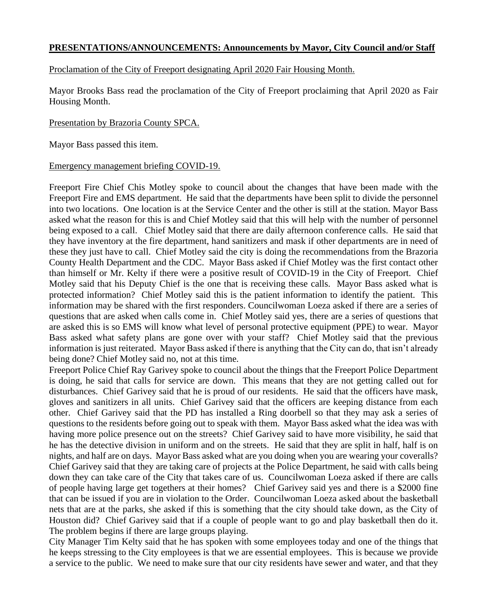# **PRESENTATIONS/ANNOUNCEMENTS: Announcements by Mayor, City Council and/or Staff**

### Proclamation of the City of Freeport designating April 2020 Fair Housing Month.

Mayor Brooks Bass read the proclamation of the City of Freeport proclaiming that April 2020 as Fair Housing Month.

#### Presentation by Brazoria County SPCA.

Mayor Bass passed this item.

#### Emergency management briefing COVID-19.

Freeport Fire Chief Chis Motley spoke to council about the changes that have been made with the Freeport Fire and EMS department. He said that the departments have been split to divide the personnel into two locations. One location is at the Service Center and the other is still at the station. Mayor Bass asked what the reason for this is and Chief Motley said that this will help with the number of personnel being exposed to a call. Chief Motley said that there are daily afternoon conference calls. He said that they have inventory at the fire department, hand sanitizers and mask if other departments are in need of these they just have to call. Chief Motley said the city is doing the recommendations from the Brazoria County Health Department and the CDC. Mayor Bass asked if Chief Motley was the first contact other than himself or Mr. Kelty if there were a positive result of COVID-19 in the City of Freeport. Chief Motley said that his Deputy Chief is the one that is receiving these calls. Mayor Bass asked what is protected information? Chief Motley said this is the patient information to identify the patient. This information may be shared with the first responders. Councilwoman Loeza asked if there are a series of questions that are asked when calls come in. Chief Motley said yes, there are a series of questions that are asked this is so EMS will know what level of personal protective equipment (PPE) to wear. Mayor Bass asked what safety plans are gone over with your staff? Chief Motley said that the previous information is just reiterated. Mayor Bass asked if there is anything that the City can do, that isn't already being done? Chief Motley said no, not at this time.

Freeport Police Chief Ray Garivey spoke to council about the things that the Freeport Police Department is doing, he said that calls for service are down. This means that they are not getting called out for disturbances. Chief Garivey said that he is proud of our residents. He said that the officers have mask, gloves and sanitizers in all units. Chief Garivey said that the officers are keeping distance from each other. Chief Garivey said that the PD has installed a Ring doorbell so that they may ask a series of questions to the residents before going out to speak with them. Mayor Bass asked what the idea was with having more police presence out on the streets? Chief Garivey said to have more visibility, he said that he has the detective division in uniform and on the streets. He said that they are split in half, half is on nights, and half are on days. Mayor Bass asked what are you doing when you are wearing your coveralls? Chief Garivey said that they are taking care of projects at the Police Department, he said with calls being down they can take care of the City that takes care of us. Councilwoman Loeza asked if there are calls of people having large get togethers at their homes? Chief Garivey said yes and there is a \$2000 fine that can be issued if you are in violation to the Order. Councilwoman Loeza asked about the basketball nets that are at the parks, she asked if this is something that the city should take down, as the City of Houston did? Chief Garivey said that if a couple of people want to go and play basketball then do it. The problem begins if there are large groups playing.

City Manager Tim Kelty said that he has spoken with some employees today and one of the things that he keeps stressing to the City employees is that we are essential employees. This is because we provide a service to the public. We need to make sure that our city residents have sewer and water, and that they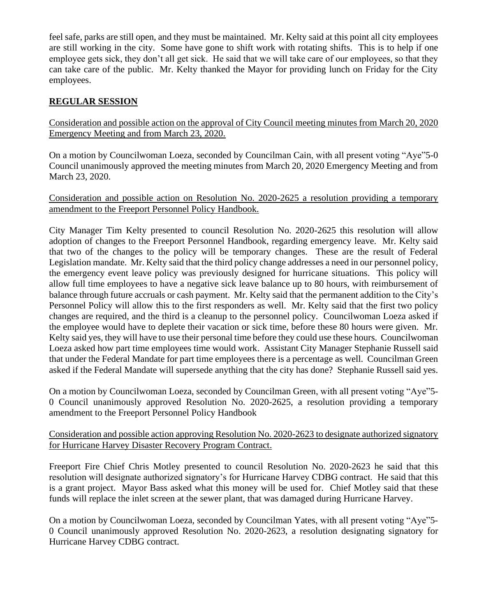feel safe, parks are still open, and they must be maintained. Mr. Kelty said at this point all city employees are still working in the city. Some have gone to shift work with rotating shifts. This is to help if one employee gets sick, they don't all get sick. He said that we will take care of our employees, so that they can take care of the public. Mr. Kelty thanked the Mayor for providing lunch on Friday for the City employees.

# **REGULAR SESSION**

Consideration and possible action on the approval of City Council meeting minutes from March 20, 2020 Emergency Meeting and from March 23, 2020.

On a motion by Councilwoman Loeza, seconded by Councilman Cain, with all present voting "Aye"5-0 Council unanimously approved the meeting minutes from March 20, 2020 Emergency Meeting and from March 23, 2020.

# Consideration and possible action on Resolution No. 2020-2625 a resolution providing a temporary amendment to the Freeport Personnel Policy Handbook.

City Manager Tim Kelty presented to council Resolution No. 2020-2625 this resolution will allow adoption of changes to the Freeport Personnel Handbook, regarding emergency leave. Mr. Kelty said that two of the changes to the policy will be temporary changes. These are the result of Federal Legislation mandate. Mr. Kelty said that the third policy change addresses a need in our personnel policy, the emergency event leave policy was previously designed for hurricane situations. This policy will allow full time employees to have a negative sick leave balance up to 80 hours, with reimbursement of balance through future accruals or cash payment. Mr. Kelty said that the permanent addition to the City's Personnel Policy will allow this to the first responders as well. Mr. Kelty said that the first two policy changes are required, and the third is a cleanup to the personnel policy. Councilwoman Loeza asked if the employee would have to deplete their vacation or sick time, before these 80 hours were given. Mr. Kelty said yes, they will have to use their personal time before they could use these hours. Councilwoman Loeza asked how part time employees time would work. Assistant City Manager Stephanie Russell said that under the Federal Mandate for part time employees there is a percentage as well. Councilman Green asked if the Federal Mandate will supersede anything that the city has done? Stephanie Russell said yes.

On a motion by Councilwoman Loeza, seconded by Councilman Green, with all present voting "Aye"5- 0 Council unanimously approved Resolution No. 2020-2625, a resolution providing a temporary amendment to the Freeport Personnel Policy Handbook

# Consideration and possible action approving Resolution No. 2020-2623 to designate authorized signatory for Hurricane Harvey Disaster Recovery Program Contract.

Freeport Fire Chief Chris Motley presented to council Resolution No. 2020-2623 he said that this resolution will designate authorized signatory's for Hurricane Harvey CDBG contract. He said that this is a grant project. Mayor Bass asked what this money will be used for. Chief Motley said that these funds will replace the inlet screen at the sewer plant, that was damaged during Hurricane Harvey.

On a motion by Councilwoman Loeza, seconded by Councilman Yates, with all present voting "Aye"5- 0 Council unanimously approved Resolution No. 2020-2623, a resolution designating signatory for Hurricane Harvey CDBG contract.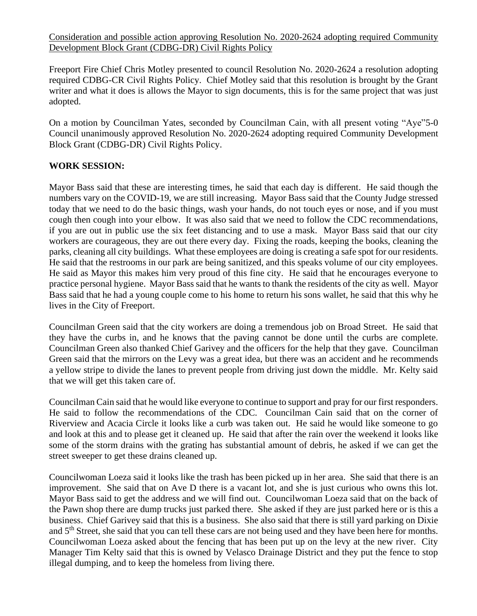Consideration and possible action approving Resolution No. 2020-2624 adopting required Community Development Block Grant (CDBG-DR) Civil Rights Policy

Freeport Fire Chief Chris Motley presented to council Resolution No. 2020-2624 a resolution adopting required CDBG-CR Civil Rights Policy. Chief Motley said that this resolution is brought by the Grant writer and what it does is allows the Mayor to sign documents, this is for the same project that was just adopted.

On a motion by Councilman Yates, seconded by Councilman Cain, with all present voting "Aye"5-0 Council unanimously approved Resolution No. 2020-2624 adopting required Community Development Block Grant (CDBG-DR) Civil Rights Policy.

# **WORK SESSION:**

Mayor Bass said that these are interesting times, he said that each day is different. He said though the numbers vary on the COVID-19, we are still increasing. Mayor Bass said that the County Judge stressed today that we need to do the basic things, wash your hands, do not touch eyes or nose, and if you must cough then cough into your elbow. It was also said that we need to follow the CDC recommendations, if you are out in public use the six feet distancing and to use a mask. Mayor Bass said that our city workers are courageous, they are out there every day. Fixing the roads, keeping the books, cleaning the parks, cleaning all city buildings. What these employees are doing is creating a safe spot for our residents. He said that the restrooms in our park are being sanitized, and this speaks volume of our city employees. He said as Mayor this makes him very proud of this fine city. He said that he encourages everyone to practice personal hygiene. Mayor Bass said that he wants to thank the residents of the city as well. Mayor Bass said that he had a young couple come to his home to return his sons wallet, he said that this why he lives in the City of Freeport.

Councilman Green said that the city workers are doing a tremendous job on Broad Street. He said that they have the curbs in, and he knows that the paving cannot be done until the curbs are complete. Councilman Green also thanked Chief Garivey and the officers for the help that they gave. Councilman Green said that the mirrors on the Levy was a great idea, but there was an accident and he recommends a yellow stripe to divide the lanes to prevent people from driving just down the middle. Mr. Kelty said that we will get this taken care of.

Councilman Cain said that he would like everyone to continue to support and pray for our first responders. He said to follow the recommendations of the CDC. Councilman Cain said that on the corner of Riverview and Acacia Circle it looks like a curb was taken out. He said he would like someone to go and look at this and to please get it cleaned up. He said that after the rain over the weekend it looks like some of the storm drains with the grating has substantial amount of debris, he asked if we can get the street sweeper to get these drains cleaned up.

Councilwoman Loeza said it looks like the trash has been picked up in her area. She said that there is an improvement. She said that on Ave D there is a vacant lot, and she is just curious who owns this lot. Mayor Bass said to get the address and we will find out. Councilwoman Loeza said that on the back of the Pawn shop there are dump trucks just parked there. She asked if they are just parked here or is this a business. Chief Garivey said that this is a business. She also said that there is still yard parking on Dixie and 5<sup>th</sup> Street, she said that you can tell these cars are not being used and they have been here for months. Councilwoman Loeza asked about the fencing that has been put up on the levy at the new river. City Manager Tim Kelty said that this is owned by Velasco Drainage District and they put the fence to stop illegal dumping, and to keep the homeless from living there.